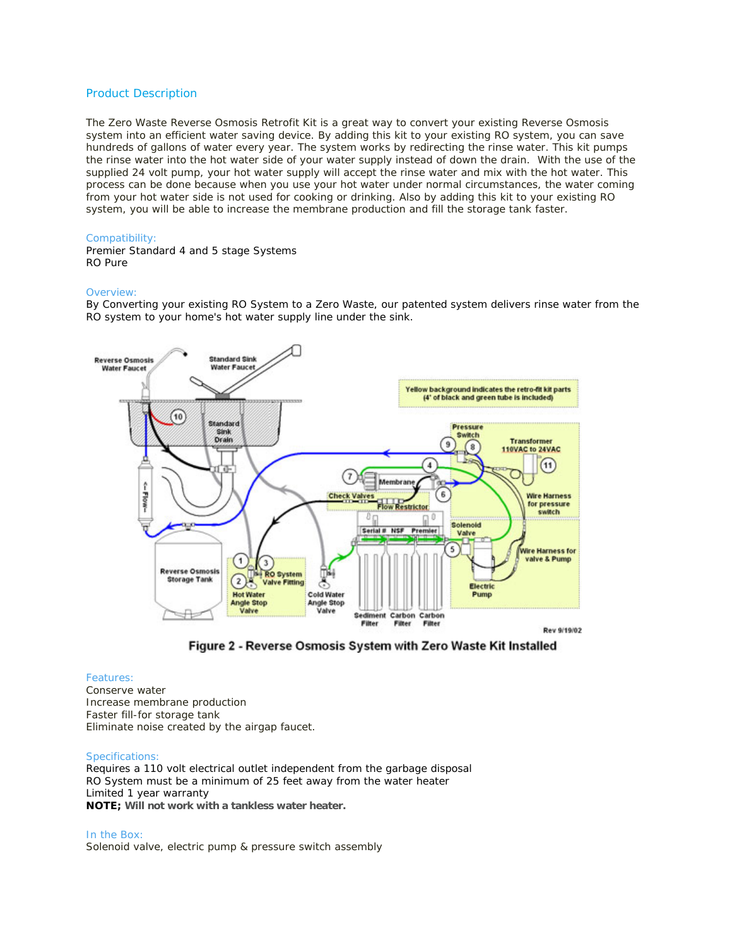# Product Description

The Zero Waste Reverse Osmosis Retrofit Kit is a great way to convert your existing Reverse Osmosis system into an efficient water saving device. By adding this kit to your existing RO system, you can save hundreds of gallons of water every year. The system works by redirecting the rinse water. This kit pumps the rinse water into the hot water side of your water supply instead of down the drain. With the use of the supplied 24 volt pump, your hot water supply will accept the rinse water and mix with the hot water. This process can be done because when you use your hot water under normal circumstances, the water coming from your hot water side is not used for cooking or drinking. Also by adding this kit to your existing RO system, you will be able to increase the membrane production and fill the storage tank faster.

## Compatibility:

Premier Standard 4 and 5 stage Systems RO Pure

### Overview:

By Converting your existing RO System to a Zero Waste, our patented system delivers rinse water from the RO system to your home's hot water supply line under the sink.





#### Features:

Conserve water Increase membrane production Faster fill-for storage tank Eliminate noise created by the airgap faucet.

#### Specifications:

Requires a 110 volt electrical outlet independent from the garbage disposal RO System must be a minimum of 25 feet away from the water heater Limited 1 year warranty **NOTE; Will not work with a tankless water heater.**

In the Box: Solenoid valve, electric pump & pressure switch assembly